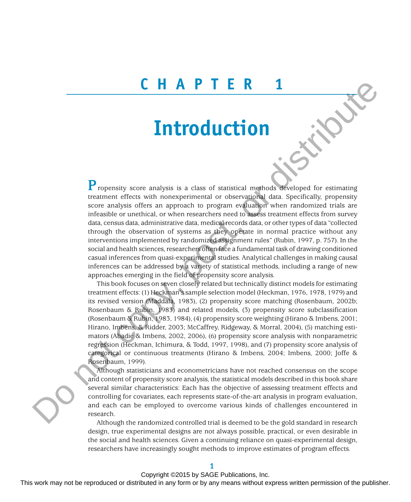# **Introduction**

P ropensity score analysis is a class of statistical methods developed for estimating treatment effects with nonexperimental or observational data. Specifically, propensity score analysis offers an approach to program evaluation when randomized trials are infeasible or unethical, or when researchers need to assess treatment effects from survey data, census data, administrative data, medical records data, or other types of data "collected through the observation of systems as they operate in normal practice without any interventions implemented by randomized assignment rules" (Rubin, 1997, p. 757). In the social and health sciences, researchers often face a fundamental task of drawing conditioned casual inferences from quasi-experimental studies. Analytical challenges in making causal inferences can be addressed by a variety of statistical methods, including a range of new approaches emerging in the field of propensity score analysis. **THE RAY TERN 12**<br> **This control is a close of science any form or betrained in restrictions**<br> **Properties with control in any form or between the control in any form of the publisher and the publisher. The publisher and** 

This book focuses on seven closely related but technically distinct models for estimating treatment effects: (1) Heckman's sample selection model (Heckman, 1976, 1978, 1979) and its revised version (Maddala, 1983), (2) propensity score matching (Rosenbaum, 2002b; Rosenbaum & Rubin, 1983) and related models, (3) propensity score subclassification (Rosenbaum & Rubin, 1983, 1984), (4) propensity score weighting (Hirano & Imbens, 2001; Hirano, Imbens, & Ridder, 2003; McCaffrey, Ridgeway, & Morral, 2004), (5) matching estimators (Abadie & Imbens, 2002, 2006), (6) propensity score analysis with nonparametric regression (Heckman, Ichimura, & Todd, 1997, 1998), and (7) propensity score analysis of categorical or continuous treatments (Hirano & Imbens, 2004; Imbens, 2000; Joffe & Rosenbaum, 1999).

Although statisticians and econometricians have not reached consensus on the scope and content of propensity score analysis, the statistical models described in this book share several similar characteristics: Each has the objective of assessing treatment effects and controlling for covariates, each represents state-of-the-art analysis in program evaluation, and each can be employed to overcome various kinds of challenges encountered in research.

Although the randomized controlled trial is deemed to be the gold standard in research design, true experimental designs are not always possible, practical, or even desirable in the social and health sciences. Given a continuing reliance on quasi-experimental design, researchers have increasingly sought methods to improve estimates of program effects.

#### **1**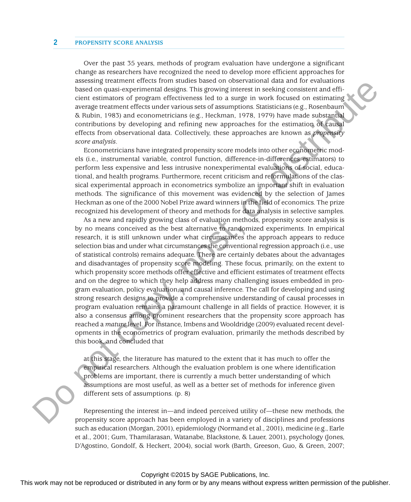Over the past 35 years, methods of program evaluation have undergone a significant change as researchers have recognized the need to develop more efficient approaches for assessing treatment effects from studies based on observational data and for evaluations based on quasi-experimental designs. This growing interest in seeking consistent and efficient estimators of program effectiveness led to a surge in work focused on estimating average treatment effects under various sets of assumptions. Statisticians (e.g., Rosenbaum & Rubin, 1983) and econometricians (e.g., Heckman, 1978, 1979) have made substantial contributions by developing and refining new approaches for the estimation of causal effects from observational data. Collectively, these approaches are known as *propensity score analysis*.

Econometricians have integrated propensity score models into other econometric models (i.e., instrumental variable, control function, difference-in-differences estimators) to perform less expensive and less intrusive nonexperimental evaluations of social, educational, and health programs. Furthermore, recent criticism and reformulations of the classical experimental approach in econometrics symbolize an important shift in evaluation methods. The significance of this movement was evidenced by the selection of James Heckman as one of the 2000 Nobel Prize award winners in the field of economics. The prize recognized his development of theory and methods for data analysis in selective samples.

As a new and rapidly growing class of evaluation methods, propensity score analysis is by no means conceived as the best alternative to randomized experiments. In empirical research, it is still unknown under what circumstances the approach appears to reduce selection bias and under what circumstances the conventional regression approach (i.e., use of statistical controls) remains adequate. There are certainly debates about the advantages and disadvantages of propensity score modeling. These focus, primarily, on the extent to which propensity score methods offer effective and efficient estimates of treatment effects and on the degree to which they help address many challenging issues embedded in program evaluation, policy evaluation, and causal inference. The call for developing and using strong research designs to provide a comprehensive understanding of causal processes in program evaluation remains a paramount challenge in all fields of practice. However, it is also a consensus among prominent researchers that the propensity score approach has reached a *mature* level. For instance, Imbens and Wooldridge (2009) evaluated recent developments in the econometrics of program evaluation, primarily the methods described by this book, and concluded that Assume the repression or the repression of the representation of the representation of the reproduced in any form or by any means with the simulation of the simulation of the simulation of the rest of the simulation of th

at this stage, the literature has matured to the extent that it has much to offer the empirical researchers. Although the evaluation problem is one where identification problems are important, there is currently a much better understanding of which assumptions are most useful, as well as a better set of methods for inference given different sets of assumptions. (p. 8)

Representing the interest in—and indeed perceived utility of—these new methods, the propensity score approach has been employed in a variety of disciplines and professions such as education (Morgan, 2001), epidemiology (Normand et al., 2001), medicine (e.g., Earle et al., 2001; Gum, Thamilarasan, Watanabe, Blackstone, & Lauer, 2001), psychology (Jones, D'Agostino, Gondolf, & Heckert, 2004), social work (Barth, Greeson, Guo, & Green, 2007;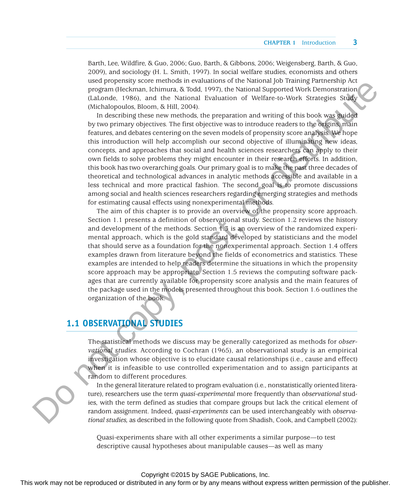Barth, Lee, Wildfire, & Guo, 2006; Guo, Barth, & Gibbons, 2006; Weigensberg, Barth, & Guo, 2009), and sociology (H. L. Smith, 1997). In social welfare studies, economists and others used propensity score methods in evaluations of the National Job Training Partnership Act program (Heckman, Ichimura, & Todd, 1997), the National Supported Work Demonstration (LaLonde, 1986), and the National Evaluation of Welfare-to-Work Strategies Study (Michalopoulos, Bloom, & Hill, 2004).

In describing these new methods, the preparation and writing of this book was guided by two primary objectives. The first objective was to introduce readers to the origins, main features, and debates centering on the seven models of propensity score analysis. We hope this introduction will help accomplish our second objective of illuminating new ideas, concepts, and approaches that social and health sciences researchers can apply to their own fields to solve problems they might encounter in their research efforts. In addition, this book has two overarching goals. Our primary goal is to make the past three decades of theoretical and technological advances in analytic methods accessible and available in a less technical and more practical fashion. The second goal is to promote discussions among social and health sciences researchers regarding emerging strategies and methods for estimating causal effects using nonexperimental methods.

The aim of this chapter is to provide an overview of the propensity score approach. Section 1.1 presents a definition of observational study. Section 1.2 reviews the history and development of the methods. Section 1.3 is an overview of the randomized experimental approach, which is the gold standard developed by statisticians and the model that should serve as a foundation for the nonexperimental approach. Section 1.4 offers examples drawn from literature beyond the fields of econometrics and statistics. These examples are intended to help readers determine the situations in which the propensity score approach may be appropriate. Section 1.5 reviews the computing software packages that are currently available for propensity score analysis and the main features of the package used in the models presented throughout this book. Section 1.6 outlines the organization of the book. The mean is distributed in any form or by any form or by any form or by any form or by any means with the reproduced in any form or by any means with the representation of the publisher. This was principal features with a

# **1.1 OBSERVATIONAL STUDIES**

The statistical methods we discuss may be generally categorized as methods for *observational studies.* According to Cochran (1965), an observational study is an empirical investigation whose objective is to elucidate causal relationships (i.e., cause and effect) when it is infeasible to use controlled experimentation and to assign participants at random to different procedures.

In the general literature related to program evaluation (i.e., nonstatistically oriented literature), researchers use the term *quasi-experimental* more frequently than *observational* studies, with the term defined as studies that compare groups but lack the critical element of random assignment. Indeed, *quasi-experiments* can be used interchangeably with *observational studies,* as described in the following quote from Shadish, Cook, and Campbell (2002):

Quasi-experiments share with all other experiments a similar purpose—to test descriptive causal hypotheses about manipulable causes—as well as many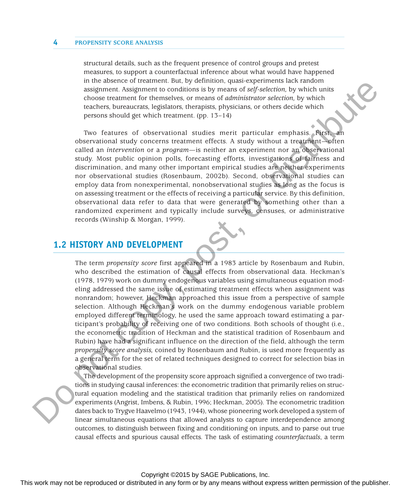structural details, such as the frequent presence of control groups and pretest measures, to support a counterfactual inference about what would have happened in the absence of treatment. But, by definition, quasi-experiments lack random assignment. Assignment to conditions is by means of *self-selection,* by which units choose treatment for themselves, or means of *administrator selection,* by which teachers, bureaucrats, legislators, therapists, physicians, or others decide which persons should get which treatment. (pp. 13–14)

Two features of observational studies merit particular emphasis. First, an observational study concerns treatment effects. A study without a treatment—often called an *intervention* or a *program*—is neither an experiment nor an observational study. Most public opinion polls, forecasting efforts, investigations of fairness and discrimination, and many other important empirical studies are neither experiments nor observational studies (Rosenbaum, 2002b). Second, observational studies can employ data from nonexperimental, nonobservational studies as long as the focus is on assessing treatment or the effects of receiving a particular service. By this definition, observational data refer to data that were generated by something other than a randomized experiment and typically include surveys, censuses, or administrative records (Winship & Morgan, 1999).

## **1.2 HISTORY AND DEVELOPMENT**

The term *propensity score* first appeared in a 1983 article by Rosenbaum and Rubin, who described the estimation of causal effects from observational data. Heckman's (1978, 1979) work on dummy endogenous variables using simultaneous equation modeling addressed the same issue of estimating treatment effects when assignment was nonrandom; however, Heckman approached this issue from a perspective of sample selection. Although Heckman's work on the dummy endogenous variable problem employed different terminology, he used the same approach toward estimating a participant's probability of receiving one of two conditions. Both schools of thought (i.e., the econometric tradition of Heckman and the statistical tradition of Rosenbaum and Rubin) have had a significant influence on the direction of the field, although the term *propensity score analysis,* coined by Rosenbaum and Rubin, is used more frequently as a general term for the set of related techniques designed to correct for selection bias in observational studies. The reproduced or the reproduced or distributed in any form or by any form or by any means in any form or by any means the publishers. The may increase the publishers in a publisher in any form or by any form or by any me

The development of the propensity score approach signified a convergence of two traditions in studying causal inferences: the econometric tradition that primarily relies on structural equation modeling and the statistical tradition that primarily relies on randomized experiments (Angrist, Imbens, & Rubin, 1996; Heckman, 2005). The econometric tradition dates back to Trygve Haavelmo (1943, 1944), whose pioneering work developed a system of linear simultaneous equations that allowed analysts to capture interdependence among outcomes, to distinguish between fixing and conditioning on inputs, and to parse out true causal effects and spurious causal effects. The task of estimating *counterfactuals*, a term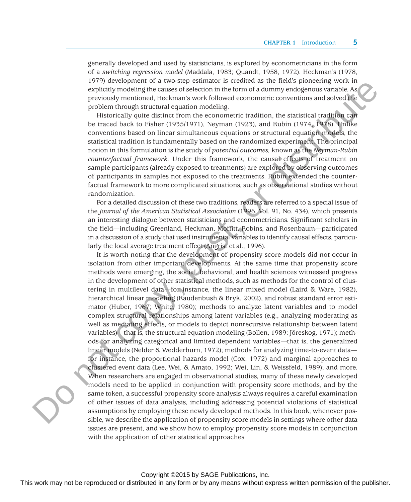generally developed and used by statisticians, is explored by econometricians in the form of a *switching regression model* (Maddala, 1983; Quandt, 1958, 1972). Heckman's (1978, 1979) development of a two-step estimator is credited as the field's pioneering work in explicitly modeling the causes of selection in the form of a dummy endogenous variable. As previously mentioned, Heckman's work followed econometric conventions and solved the problem through structural equation modeling.

Historically quite distinct from the econometric tradition, the statistical tradition can be traced back to Fisher (1935/1971), Neyman (1923), and Rubin (1974, 1978). Unlike conventions based on linear simultaneous equations or structural equation models, the statistical tradition is fundamentally based on the randomized experiment. The principal notion in this formulation is the study of *potential outcomes,* known as the *Neyman-Rubin counterfactual framework.* Under this framework, the causal effects of treatment on sample participants (already exposed to treatments) are explored by observing outcomes of participants in samples not exposed to the treatments. Rubin extended the counterfactual framework to more complicated situations, such as observational studies without randomization.

For a detailed discussion of these two traditions, readers are referred to a special issue of the *Journal of the American Statistical Association* (1996, Vol. 91, No. 434), which presents an interesting dialogue between statisticians and econometricians. Significant scholars in the field—including Greenland, Heckman, Moffitt, Robins, and Rosenbaum—participated in a discussion of a study that used instrumental variables to identify causal effects, particularly the local average treatment effect (Angrist et al., 1996).

It is worth noting that the development of propensity score models did not occur in isolation from other important developments. At the same time that propensity score methods were emerging, the social, behavioral, and health sciences witnessed progress in the development of other statistical methods, such as methods for the control of clustering in multilevel data—for instance, the linear mixed model (Laird & Ware, 1982), hierarchical linear modeling (Raudenbush & Bryk, 2002), and robust standard error estimator (Huber, 1967; White, 1980); methods to analyze latent variables and to model complex structural relationships among latent variables (e.g., analyzing moderating as well as mediating effects, or models to depict nonrecursive relationship between latent variables)—that is, the structural equation modeling (Bollen, 1989; Jöreskog, 1971); methods for analyzing categorical and limited dependent variables—that is, the generalized linear models (Nelder & Wedderburn, 1972); methods for analyzing time-to-event data for instance, the proportional hazards model (Cox, 1972) and marginal approaches to clustered event data (Lee, Wei, & Amato, 1992; Wei, Lin, & Weissfeld, 1989); and more. When researchers are engaged in observational studies, many of these newly developed models need to be applied in conjunction with propensity score methods, and by the same token, a successful propensity score analysis always requires a careful examination of other issues of data analysis, including addressing potential violations of statistical assumptions by employing these newly developed methods. In this book, whenever possible, we describe the application of propensity score models in settings where other data issues are present, and we show how to employ propensity score models in conjunction with the application of other statistical approaches. The more is the relation of the system and the relation of the relation of the results of the results are a system or by any means with the publisher and the relation of the more of the publisher. This weak is the first (1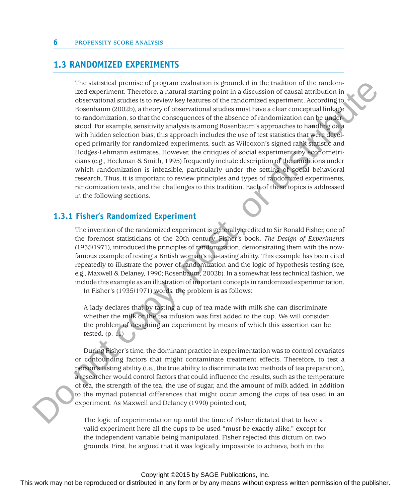# **1.3 RANDOMIZED EXPERIMENTS**

The statistical premise of program evaluation is grounded in the tradition of the randomized experiment. Therefore, a natural starting point in a discussion of causal attribution in observational studies is to review key features of the randomized experiment. According to Rosenbaum (2002b), a theory of observational studies must have a clear conceptual linkage to randomization, so that the consequences of the absence of randomization can be understood. For example, sensitivity analysis is among Rosenbaum's approaches to handling data with hidden selection bias; this approach includes the use of test statistics that were developed primarily for randomized experiments, such as Wilcoxon's signed rank statistic and Hodges-Lehmann estimates. However, the critiques of social experiments by econometricians (e.g., Heckman & Smith, 1995) frequently include description of the conditions under which randomization is infeasible, particularly under the setting of social behavioral research. Thus, it is important to review principles and types of randomized experiments, randomization tests, and the challenges to this tradition. Each of these topics is addressed in the following sections. The statistics of properties or distributed in the tradition of the restoration or the restoration or distributed in any form or by any form or by any form or by any form or by any form or by any form or by any form or by

## **1.3.1 Fisher's Randomized Experiment**

The invention of the randomized experiment is generally credited to Sir Ronald Fisher, one of the foremost statisticians of the 20th century. Fisher's book, *The Design of Experiments* (1935/1971), introduced the principles of randomization, demonstrating them with the nowfamous example of testing a British woman's tea-tasting ability. This example has been cited repeatedly to illustrate the power of randomization and the logic of hypothesis testing (see, e.g., Maxwell & Delaney, 1990; Rosenbaum, 2002b). In a somewhat less technical fashion, we include this example as an illustration of important concepts in randomized experimentation.

In Fisher's (1935/1971) words, the problem is as follows:

A lady declares that by tasting a cup of tea made with milk she can discriminate whether the milk or the tea infusion was first added to the cup. We will consider the problem of designing an experiment by means of which this assertion can be tested. (p. 11)

During Fisher's time, the dominant practice in experimentation was to control covariates or confounding factors that might contaminate treatment effects. Therefore, to test a person's tasting ability (i.e., the true ability to discriminate two methods of tea preparation), a researcher would control factors that could influence the results, such as the temperature of tea, the strength of the tea, the use of sugar, and the amount of milk added, in addition to the myriad potential differences that might occur among the cups of tea used in an experiment. As Maxwell and Delaney (1990) pointed out,

The logic of experimentation up until the time of Fisher dictated that to have a valid experiment here all the cups to be used "must be exactly alike," except for the independent variable being manipulated. Fisher rejected this dictum on two grounds. First, he argued that it was logically impossible to achieve, both in the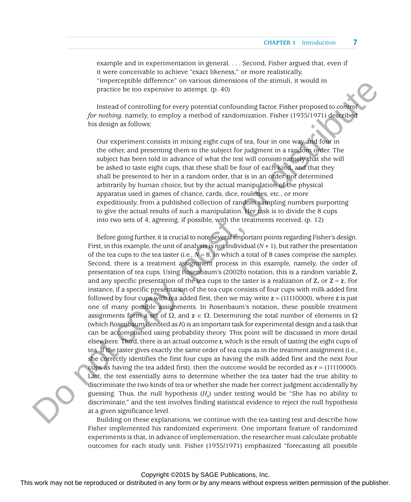example and in experimentation in general. . . . Second, Fisher argued that, even if it were conceivable to achieve "exact likeness," or more realistically, "imperceptible difference" on various dimensions of the stimuli, it would in practice be too expensive to attempt. (p. 40)

Instead of controlling for every potential confounding factor, Fisher proposed to *control for nothing,* namely, to employ a method of randomization. Fisher (1935/1971) described his design as follows:

Our experiment consists in mixing eight cups of tea, four in one way and four in the other, and presenting them to the subject for judgment in a random order. The subject has been told in advance of what the test will consist, namely that she will be asked to taste eight cups, that these shall be four of each kind, and that they shall be presented to her in a random order, that is in an order not determined arbitrarily by human choice, but by the actual manipulation of the physical apparatus used in games of chance, cards, dice, roulettes, etc., or more expeditiously, from a published collection of random sampling numbers purporting to give the actual results of such a manipulation. Her task is to divide the 8 cups into two sets of 4, agreeing, if possible, with the treatments received. (p. 12)

Before going further, it is crucial to note several important points regarding Fisher's design. First, in this example, the unit of analysis is not individual (*N ≠* 1), but rather the presentation of the tea cups to the tea taster (i.e.,  $N = 8$ , in which a total of 8 cases comprise the sample). Second, there is a treatment assignment process in this example, namely, the order of presentation of tea cups. Using Rosenbaum's (2002b) notation, this is a random variable **Z,** and any specific presentation of the tea cups to the taster is a realization of **Z**, or  $Z = z$ . For instance, if a specific presentation of the tea cups consists of four cups with milk added first followed by four cups with tea added first, then we may write  $z = (11110000)$ , where  $z$  is just one of many possible assignments. In Rosenbaum's notation, these possible treatment assignments form a set of  $\Omega$ , and  $z \in \Omega$ . Determining the total number of elements in  $\Omega$ (which Rosenbaum denoted as *K*) is an important task for experimental design and a task that can be accomplished using probability theory. This point will be discussed in more detail elsewhere. Third, there is an actual outcome **r,** which is the result of tasting the eight cups of tea. If the taster gives exactly the same order of tea cups as in the treatment assignment (i.e., she correctly identifies the first four cups as having the milk added first and the next four cups as having the tea added first), then the outcome would be recorded as  $r = (11110000)$ . Last, the test essentially aims to determine whether the tea taster had the true ability to discriminate the two kinds of tea or whether she made her correct judgment accidentally by guessing. Thus, the null hypothesis  $(H_0)$  under testing would be "She has no ability to discriminate," and the test involves finding statistical evidence to reject the null hypothesis at a given significance level. The may notice control or the reproduced or the repression or the second or the second or the reproduced or the publisher.<br>
The restring a metric to express means when the material control or the publisher. The restricti

Building on these explanations, we continue with the tea-tasting test and describe how Fisher implemented his randomized experiment. One important feature of randomized experiments is that, in advance of implementation, the researcher must calculate probable outcomes for each study unit. Fisher (1935/1971) emphasized "forecasting all possible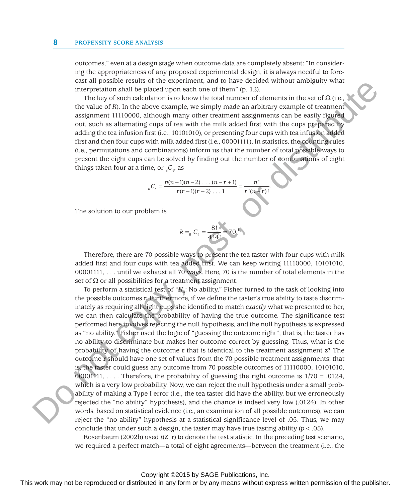outcomes," even at a design stage when outcome data are completely absent: "In considering the appropriateness of any proposed experimental design, it is always needful to forecast all possible results of the experiment, and to have decided without ambiguity what interpretation shall be placed upon each one of them" (p. 12).

The key of such calculation is to know the total number of elements in the set of  $\Omega$  (i.e., the value of *K*). In the above example, we simply made an arbitrary example of treatment assignment 11110000, although many other treatment assignments can be easily figured out, such as alternating cups of tea with the milk added first with the cups prepared by adding the tea infusion first (i.e., 10101010), or presenting four cups with tea infusion added first and then four cups with milk added first (i.e., 00001111). In statistics, the counting rules (i.e., permutations and combinations) inform us that the number of total possible ways to present the eight cups can be solved by finding out the number of combinations of eight things taken four at a time, or  ${}_{8}C_{4}$ , as

$$
{}_{n}C_{r} = \frac{n(n-1)(n-2)...(n-r+1)}{r(r-1)(r-2)...1} = \frac{n!}{r!(n-r)!}.
$$

The solution to our problem is

$$
k = {}_{8}C_{4} = \frac{8!}{4!4!} = 70.
$$

Therefore, there are 70 possible ways to present the tea taster with four cups with milk added first and four cups with tea added first. We can keep writing 11110000, 10101010, 00001111, . . . until we exhaust all 70 ways. Here, 70 is the number of total elements in the set of  $\Omega$  or all possibilities for a treatment assignment.

To perform a statistical test of "H<sub>0</sub>: No ability," Fisher turned to the task of looking into the possible outcomes **r.** Furthermore, if we define the taster's true ability to taste discriminately as requiring all eight cups she identified to match *exactly* what we presented to her, we can then calculate the probability of having the true outcome. The significance test performed here involves rejecting the null hypothesis, and the null hypothesis is expressed as "no ability." Fisher used the logic of "guessing the outcome right"; that is, the taster has no ability to discriminate but makes her outcome correct by guessing. Thus, what is the probability of having the outcome **r** that is identical to the treatment assignment **z?** The outcome **r** should have one set of values from the 70 possible treatment assignments; that is, the taster could guess any outcome from 70 possible outcomes of 11110000, 10101010, 00001111, ... Therefore, the probability of guessing the right outcome is  $1/70 = .0124$ , which is a very low probability. Now, we can reject the null hypothesis under a small probability of making a Type I error (i.e., the tea taster did have the ability, but we erroneously rejected the "no ability" hypothesis), and the chance is indeed very low (.0124). In other words, based on statistical evidence (i.e., an examination of all possible outcomes), we can reject the "no ability" hypothesis at a statistical significance level of .05. Thus, we may conclude that under such a design, the taster may have true tasting ability  $(p < .05)$ . Consider the consideration or the publisher may be reproduced or the representation of the representation of the representation of the representation of the representation of the publisher. This is a mean of the publisher

Rosenbaum (2002b) used *t*(**Z**, **r**) to denote the test statistic. In the preceding test scenario, we required a perfect match—a total of eight agreements—between the treatment (i.e., the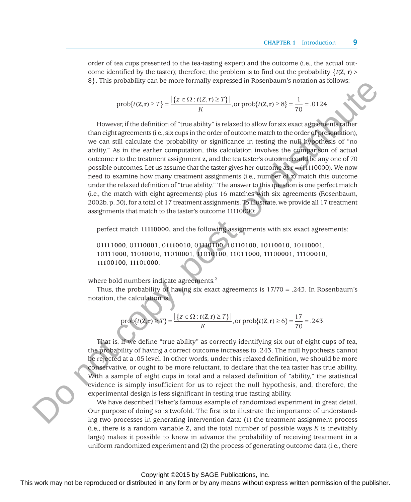order of tea cups presented to the tea-tasting expert) and the outcome (i.e., the actual outcome identified by the taster); therefore, the problem is to find out the probability  $\{t(\mathbf{Z}, \mathbf{r})\}$ 8}. This probability can be more formally expressed in Rosenbaum's notation as follows:

$$
\text{prob}\{t(\mathbf{Z}, \mathbf{r}) \ge T\} = \frac{|\{z \in \Omega : t(\mathbf{Z}, \mathbf{r}) \ge T\}|}{K}, \text{or } \text{prob}\{t(\mathbf{Z}, \mathbf{r}) \ge 8\} = \frac{1}{70} = .0124.
$$

However, if the definition of "true ability" is relaxed to allow for six exact agreements rather than eight agreements (i.e., six cups in the order of outcome match to the order of presentation), we can still calculate the probability or significance in testing the null hypothesis of "no ability." As in the earlier computation, this calculation involves the comparison of actual outcome **r** to the treatment assignment **z,** and the tea taster's outcome could be any one of 70 possible outcomes. Let us assume that the taster gives her outcome as **r** = (11110000). We now need to examine how many treatment assignments (i.e., number of **z**) match this outcome under the relaxed definition of "true ability." The answer to this question is one perfect match (i.e., the match with eight agreements) plus 16 matches with six agreements (Rosenbaum, 2002b, p. 30), for a total of 17 treatment assignments. To illustrate, we provide all 17 treatment assignments that match to the taster's outcome 11110000: 6). This procedure of the representation of the reproduced or distributed in any form or by any form or by any form or by any form or by any form or by any form or by any form or by any form or by any form or by any form

perfect match **11110000,** and the following assignments with six exact agreements:

$$
01111000, 01110001, 01110010, 01110100, 10110100, 10110010, 10110001, 10111000, 11010001, 110100001, 11100010, 11100010, 11100010, 11100010, 11100010, 11100010, 11100010, 11100010, 11100010, 1110000, 1110000, 1110000, 1110000, 1110000, 1110000, 1110000, 1110000, 1110000, 1110000, 1110000, 1110000, 1110000, 1110000, 1110000, 1110000, 1110000, 1110000, 1110000, 1110000, 1110000, 1110000, 1110000, 1110000, 1110000, 1110000, 1110000, 1110000, 1110000, 1110000, 1110000, 1110000, 1110000, 1110000, 1110000, 1110000, 1110000, 1110000, 1110000, 1110000, 1110000, 1110000, 1110000, 1110000, 1110000, 1110000, 1110000, 1110000, 1110000, 1110000, 1110000, 1110000, 1110000, 1110000, 1110000, 1110000, 1110000, 1110000, 1110000, 1110000, 1110000, 1110000, 1110000, 1
$$

where bold numbers indicate agreements.<sup>2</sup>

Thus, the probability of having six exact agreements is  $17/70 = .243$ . In Rosenbaum's notation, the calculation is

$$
\text{prob}\{t(\mathbf{Z}, \mathbf{r}) \ge T\} = \frac{|\{z \in \Omega : t(\mathbf{Z}, \mathbf{r}) \ge T\}|}{K}, \text{or } \text{prob}\{t(\mathbf{Z}, \mathbf{r}) \ge 6\} = \frac{17}{70} = .243.
$$

That is, if we define "true ability" as correctly identifying six out of eight cups of tea, the probability of having a correct outcome increases to .243. The null hypothesis cannot be rejected at a .05 level. In other words, under this relaxed definition, we should be more conservative, or ought to be more reluctant, to declare that the tea taster has true ability. With a sample of eight cups in total and a relaxed definition of "ability," the statistical evidence is simply insufficient for us to reject the null hypothesis, and, therefore, the experimental design is less significant in testing true tasting ability.

We have described Fisher's famous example of randomized experiment in great detail. Our purpose of doing so is twofold. The first is to illustrate the importance of understanding two processes in generating intervention data: (1) the treatment assignment process (i.e., there is a random variable **Z,** and the total number of possible ways *K* is inevitably large) makes it possible to know in advance the probability of receiving treatment in a uniform randomized experiment and (2) the process of generating outcome data (i.e., there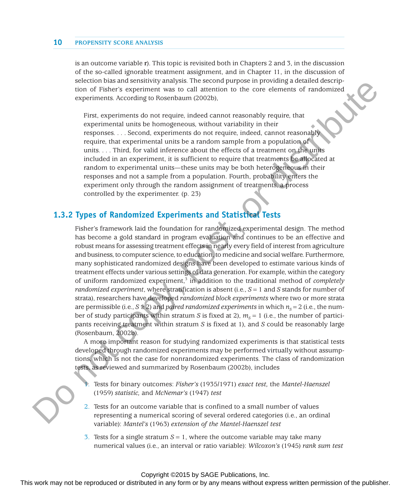is an outcome variable **r**). This topic is revisited both in Chapters 2 and 3, in the discussion of the so-called ignorable treatment assignment, and in Chapter 11, in the discussion of selection bias and sensitivity analysis. The second purpose in providing a detailed description of Fisher's experiment was to call attention to the core elements of randomized experiments. According to Rosenbaum (2002b),

First, experiments do not require, indeed cannot reasonably require, that experimental units be homogeneous, without variability in their responses. . . . Second, experiments do not require, indeed, cannot reasonably require, that experimental units be a random sample from a population of units. . . . Third, for valid inference about the effects of a treatment on the units included in an experiment, it is sufficient to require that treatments be allocated at random to experimental units—these units may be both heterogeneous in their responses and not a sample from a population. Fourth, probability enters the experiment only through the random assignment of treatments, a process controlled by the experimenter. (p. 23)

# **1.3.2 Types of Randomized Experiments and Statistical Tests**

Fisher's framework laid the foundation for randomized experimental design. The method has become a gold standard in program evaluation and continues to be an effective and robust means for assessing treatment effects in nearly every field of interest from agriculture and business, to computer science, to education, to medicine and social welfare. Furthermore, many sophisticated randomized designs have been developed to estimate various kinds of treatment effects under various settings of data generation. For example, within the category of uniform randomized experiment,<sup>3</sup> in addition to the traditional method of *completely randomized experiment*, where stratification is absent (i.e., *S* = 1 and *S* stands for number of strata), researchers have developed *randomized block experiments* where two or more strata are permissible (i.e.,  $S \ge 2$ ) and *paired randomized experiments* in which  $n_s = 2$  (i.e., the number of study participants within stratum *S* is fixed at 2),  $m_s = 1$  (i.e., the number of participants receiving treatment within stratum *S* is fixed at 1), and *S* could be reasonably large (Rosenbaum, 2002b). EXECUTE THIS WAY NOTE THIS WAY THE CONSULTER CONTINUES ARE CONSULTER TO THE CONSULTER CONTINUES ARE CONSULTER TO THE CONSULTER CONSULTER CONSULTER CONSULTER CONSULTER CONSULTER CONSULTER CONSULTER CONSULTER CONSULTER CONS

A more important reason for studying randomized experiments is that statistical tests developed through randomized experiments may be performed virtually without assumptions, which is not the case for nonrandomized experiments. The class of randomization tests, as reviewed and summarized by Rosenbaum (2002b), includes

- 1. Tests for binary outcomes: *Fisher's* (1935/1971) *exact test,* the *Mantel-Haenszel* (1959) *statistic,* and *McNemar's* (1947) *test*
- 2. Tests for an outcome variable that is confined to a small number of values representing a numerical scoring of several ordered categories (i.e., an ordinal variable): *Mantel's* (1963) *extension of the Mantel-Haenszel test*
- 3. Tests for a single stratum  $S = 1$ , where the outcome variable may take many numerical values (i.e., an interval or ratio variable): *Wilcoxon's* (1945) *rank sum test*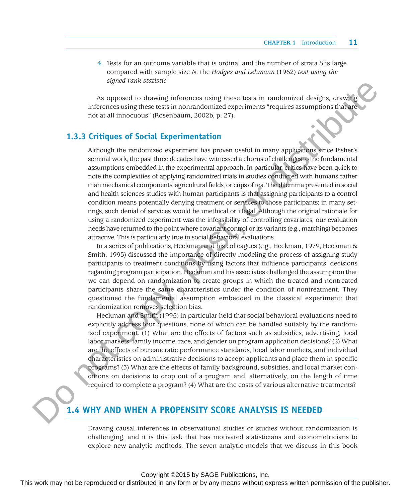4. Tests for an outcome variable that is ordinal and the number of strata *S* is large compared with sample size *N*: the *Hodges and Lehmann* (1962) *test using the signed rank statistic*

As opposed to drawing inferences using these tests in randomized designs, drawing inferences using these tests in nonrandomized experiments "requires assumptions that are not at all innocuous" (Rosenbaum, 2002b, p. 27).

## **1.3.3 Critiques of Social Experimentation**

Although the randomized experiment has proven useful in many applications since Fisher's seminal work, the past three decades have witnessed a chorus of challenges to the fundamental assumptions embedded in the experimental approach. In particular, critics have been quick to note the complexities of applying randomized trials in studies conducted with humans rather than mechanical components, agricultural fields, or cups of tea. The dilemma presented in social and health sciences studies with human participants is that assigning participants to a control condition means potentially denying treatment or services to those participants; in many settings, such denial of services would be unethical or illegal. Although the original rationale for using a randomized experiment was the infeasibility of controlling covariates, our evaluation needs have returned to the point where covariant control or its variants (e.g., matching) becomes attractive. This is particularly true in social behavioral evaluations. system consistent may not be reproduced or distributed in a publisher may not be reproduced or distributed in any form or by any means with the result of the publisher. This is a consistent or by any means with the multipu

In a series of publications, Heckman and his colleagues (e.g., Heckman, 1979; Heckman & Smith, 1995) discussed the importance of directly modeling the process of assigning study participants to treatment conditions by using factors that influence participants' decisions regarding program participation. Heckman and his associates challenged the assumption that we can depend on randomization to create groups in which the treated and nontreated participants share the same characteristics under the condition of nontreatment. They questioned the fundamental assumption embedded in the classical experiment: that randomization removes selection bias.

Heckman and Smith (1995) in particular held that social behavioral evaluations need to explicitly address four questions, none of which can be handled suitably by the randomized experiment: (1) What are the effects of factors such as subsidies, advertising, local labor markets, family income, race, and gender on program application decisions? (2) What are the effects of bureaucratic performance standards, local labor markets, and individual characteristics on administrative decisions to accept applicants and place them in specific programs? (3) What are the effects of family background, subsidies, and local market conditions on decisions to drop out of a program and, alternatively, on the length of time required to complete a program? (4) What are the costs of various alternative treatments?

# **1.4 WHY AND WHEN A PROPENSITY SCORE ANALYSIS IS NEEDED**

Drawing causal inferences in observational studies or studies without randomization is challenging, and it is this task that has motivated statisticians and econometricians to explore new analytic methods. The seven analytic models that we discuss in this book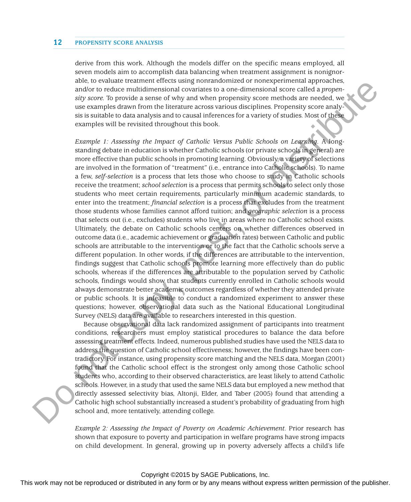derive from this work. Although the models differ on the specific means employed, all seven models aim to accomplish data balancing when treatment assignment is nonignorable, to evaluate treatment effects using nonrandomized or nonexperimental approaches, and/or to reduce multidimensional covariates to a one-dimensional score called a *propensity score.* To provide a sense of why and when propensity score methods are needed, we use examples drawn from the literature across various disciplines. Propensity score analysis is suitable to data analysis and to causal inferences for a variety of studies. Most of these examples will be revisited throughout this book.

*Example 1: Assessing the Impact of Catholic Versus Public Schools on Learning.* A longstanding debate in education is whether Catholic schools (or private schools in general) are more effective than public schools in promoting learning. Obviously, a variety of selections are involved in the formation of "treatment" (i.e., entrance into Catholic schools). To name a few, *self-selection* is a process that lets those who choose to study in Catholic schools receive the treatment; *school selection* is a process that permits schools to select only those students who meet certain requirements, particularly minimum academic standards, to enter into the treatment; *financial selection* is a process that excludes from the treatment those students whose families cannot afford tuition; and *geographic selection* is a process that selects out (i.e., excludes) students who live in areas where no Catholic school exists. Ultimately, the debate on Catholic schools centers on whether differences observed in outcome data (i.e., academic achievement or graduation rates) between Catholic and public schools are attributable to the intervention or to the fact that the Catholic schools serve a different population. In other words, if the differences are attributable to the intervention, findings suggest that Catholic schools promote learning more effectively than do public schools, whereas if the differences are attributable to the population served by Catholic schools, findings would show that students currently enrolled in Catholic schools would always demonstrate better academic outcomes regardless of whether they attended private or public schools. It is infeasible to conduct a randomized experiment to answer these questions; however, observational data such as the National Educational Longitudinal Survey (NELS) data are available to researchers interested in this question. and the rest or the reproduced or the repression of the representation of the rest or any form or by any means we complete this plane. Properties were reproduced in the results with the rest or the publisher. The publishe

Because observational data lack randomized assignment of participants into treatment conditions, researchers must employ statistical procedures to balance the data before assessing treatment effects. Indeed, numerous published studies have used the NELS data to address the question of Catholic school effectiveness; however, the findings have been contradictory. For instance, using propensity score matching and the NELS data, Morgan (2001) found that the Catholic school effect is the strongest only among those Catholic school students who, according to their observed characteristics, are least likely to attend Catholic schools. However, in a study that used the same NELS data but employed a new method that directly assessed selectivity bias, Altonji, Elder, and Taber (2005) found that attending a Catholic high school substantially increased a student's probability of graduating from high school and, more tentatively, attending college.

*Example 2: Assessing the Impact of Poverty on Academic Achievement.* Prior research has shown that exposure to poverty and participation in welfare programs have strong impacts on child development. In general, growing up in poverty adversely affects a child's life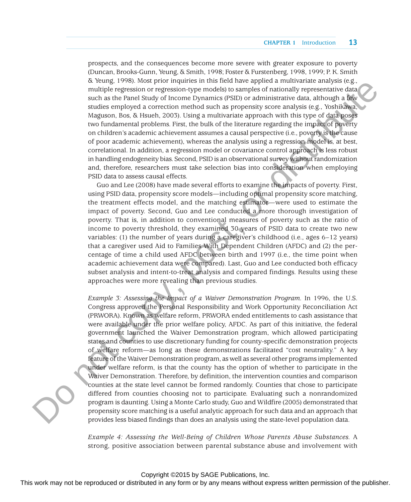prospects, and the consequences become more severe with greater exposure to poverty (Duncan, Brooks-Gunn, Yeung, & Smith, 1998; Foster & Furstenberg, 1998, 1999; P. K. Smith & Yeung, 1998). Most prior inquiries in this field have applied a multivariate analysis (e.g., multiple regression or regression-type models) to samples of nationally representative data such as the Panel Study of Income Dynamics (PSID) or administrative data, although a few studies employed a correction method such as propensity score analysis (e.g., Yoshikawa, Maguson, Bos, & Hsueh, 2003). Using a multivariate approach with this type of data poses two fundamental problems. First, the bulk of the literature regarding the impact of poverty on children's academic achievement assumes a causal perspective (i.e., poverty is the cause of poor academic achievement), whereas the analysis using a regression model is, at best, correlational. In addition, a regression model or covariance control approach is less robust in handling endogeneity bias. Second, PSID is an observational survey without randomization and, therefore, researchers must take selection bias into consideration when employing PSID data to assess causal effects.

Guo and Lee (2008) have made several efforts to examine the impacts of poverty. First, using PSID data, propensity score models—including optimal propensity score matching, the treatment effects model, and the matching estimator—were used to estimate the impact of poverty. Second, Guo and Lee conducted a more thorough investigation of poverty. That is, in addition to conventional measures of poverty such as the ratio of income to poverty threshold, they examined 30 years of PSID data to create two new variables: (1) the number of years during a caregiver's childhood (i.e., ages 6–12 years) that a caregiver used Aid to Families With Dependent Children (AFDC) and (2) the percentage of time a child used AFDC between birth and 1997 (i.e., the time point when academic achievement data were compared). Last, Guo and Lee conducted both efficacy subset analysis and intent-to-treat analysis and compared findings. Results using these approaches were more revealing than previous studies.

*Example 3: Assessing the Impact of a Waiver Demonstration Program.* In 1996, the U.S. Congress approved the Personal Responsibility and Work Opportunity Reconciliation Act (PRWORA). Known as welfare reform, PRWORA ended entitlements to cash assistance that were available under the prior welfare policy, AFDC. As part of this initiative, the federal government launched the Waiver Demonstration program, which allowed participating states and counties to use discretionary funding for county-specific demonstration projects of welfare reform—as long as these demonstrations facilitated "cost neutrality." A key feature of the Waiver Demonstration program, as well as several other programs implemented under welfare reform, is that the county has the option of whether to participate in the Waiver Demonstration. Therefore, by definition, the intervention counties and comparison counties at the state level cannot be formed randomly. Counties that chose to participate differed from counties choosing not to participate. Evaluating such a nonrandomized program is daunting. Using a Monte Carlo study, Guo and Wildfire (2005) demonstrated that propensity score matching is a useful analytic approach for such data and an approach that provides less biased findings than does an analysis using the state-level population data. States in the reproduced or the reproduced or distributed in any form or by any form or by any form or by any form or by any form or by any means when we apply the states with the properties with the publisher. This will

*Example 4: Assessing the Well-Being of Children Whose Parents Abuse Substances.* A strong, positive association between parental substance abuse and involvement with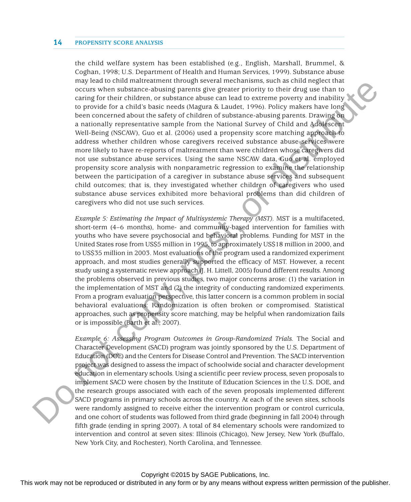the child welfare system has been established (e.g., English, Marshall, Brummel, & Coghan, 1998; U.S. Department of Health and Human Services, 1999). Substance abuse may lead to child maltreatment through several mechanisms, such as child neglect that occurs when substance-abusing parents give greater priority to their drug use than to caring for their children, or substance abuse can lead to extreme poverty and inability to provide for a child's basic needs (Magura & Laudet, 1996). Policy makers have long been concerned about the safety of children of substance-abusing parents. Drawing on a nationally representative sample from the National Survey of Child and Adolescent Well-Being (NSCAW), Guo et al. (2006) used a propensity score matching approach to address whether children whose caregivers received substance abuse services were more likely to have re-reports of maltreatment than were children whose caregivers did not use substance abuse services. Using the same NSCAW data, Guo et al. employed propensity score analysis with nonparametric regression to examine the relationship between the participation of a caregiver in substance abuse services and subsequent child outcomes; that is, they investigated whether children of caregivers who used substance abuse services exhibited more behavioral problems than did children of caregivers who did not use such services. This work may not be reproduced or distributed in any form or by any form or by any form or any form or distributed in any form or by any form or by any form or by any means have been been always and the publisher. The str

*Example 5: Estimating the Impact of Multisystemic Therapy (MST).* MST is a multifaceted, short-term (4–6 months), home- and community-based intervention for families with youths who have severe psychosocial and behavioral problems. Funding for MST in the United States rose from US\$5 million in 1995, to approximately US\$18 million in 2000, and to US\$35 million in 2003. Most evaluations of the program used a randomized experiment approach, and most studies generally supported the efficacy of MST. However, a recent study using a systematic review approach (J. H. Littell, 2005) found different results. Among the problems observed in previous studies, two major concerns arose: (1) the variation in the implementation of MST and (2) the integrity of conducting randomized experiments. From a program evaluation perspective, this latter concern is a common problem in social behavioral evaluations: Randomization is often broken or compromised. Statistical approaches, such as propensity score matching, may be helpful when randomization fails or is impossible (Barth et al., 2007).

*Example 6: Assessing Program Outcomes in Group-Randomized Trials.* The Social and Character Development (SACD) program was jointly sponsored by the U.S. Department of Education (DOE) and the Centers for Disease Control and Prevention. The SACD intervention project was designed to assess the impact of schoolwide social and character development education in elementary schools. Using a scientific peer review process, seven proposals to implement SACD were chosen by the Institute of Education Sciences in the U.S. DOE, and the research groups associated with each of the seven proposals implemented different SACD programs in primary schools across the country. At each of the seven sites, schools were randomly assigned to receive either the intervention program or control curricula, and one cohort of students was followed from third grade (beginning in fall 2004) through fifth grade (ending in spring 2007). A total of 84 elementary schools were randomized to intervention and control at seven sites: Illinois (Chicago), New Jersey, New York (Buffalo, New York City, and Rochester), North Carolina, and Tennessee.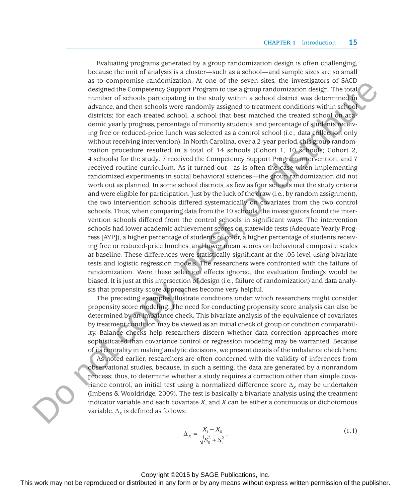Evaluating programs generated by a group randomization design is often challenging, because the unit of analysis is a cluster—such as a school—and sample sizes are so small as to compromise randomization. At one of the seven sites, the investigators of SACD designed the Competency Support Program to use a group randomization design. The total number of schools participating in the study within a school district was determined in advance, and then schools were randomly assigned to treatment conditions within school districts; for each treated school, a school that best matched the treated school on academic yearly progress, percentage of minority students, and percentage of students receiving free or reduced-price lunch was selected as a control school (i.e., data collection only without receiving intervention). In North Carolina, over a 2-year period, this group randomization procedure resulted in a total of 14 schools (Cohort 1, 10 schools; Cohort 2, 4 schools) for the study: 7 received the Competency Support Program intervention, and 7 received routine curriculum. As it turned out—as is often the case when implementing randomized experiments in social behavioral sciences—the group randomization did not work out as planned. In some school districts, as few as four schools met the study criteria and were eligible for participation. Just by the luck of the draw (i.e., by random assignment), the two intervention schools differed systematically on covariates from the two control schools. Thus, when comparing data from the 10 schools, the investigators found the intervention schools differed from the control schools in significant ways: The intervention schools had lower academic achievement scores on statewide tests (Adequate Yearly Progress [AYP]), a higher percentage of students of color, a higher percentage of students receiving free or reduced-price lunches, and lower mean scores on behavioral composite scales at baseline. These differences were statistically significant at the .05 level using bivariate tests and logistic regression models. The researchers were confronted with the failure of randomization. Were these selection effects ignored, the evaluation findings would be biased. It is just at this intersection of design (i.e., failure of randomization) and data analysis that propensity score approaches become very helpful. So the computer or the reproduced or the rest or the system of the reproduced or the system or distributed in any form or by any means within a school distributed in any form or by any means within a school distributed in

The preceding examples illustrate conditions under which researchers might consider propensity score modeling. The need for conducting propensity score analysis can also be determined by an imbalance check. This bivariate analysis of the equivalence of covariates by treatment condition may be viewed as an initial check of group or condition comparability. Balance checks help researchers discern whether data correction approaches more sophisticated than covariance control or regression modeling may be warranted. Because of its centrality in making analytic decisions, we present details of the imbalance check here.

As noted earlier, researchers are often concerned with the validity of inferences from observational studies, because, in such a setting, the data are generated by a nonrandom process; thus, to determine whether a study requires a correction other than simple covariance control, an initial test using a normalized difference score  $\Delta_{\chi}$  may be undertaken (Imbens & Wooldridge, 2009). The test is basically a bivariate analysis using the treatment indicator variable and each covariate *X*, and *X* can be either a continuous or dichotomous variable.  $\Delta_{\chi}$  is defined as follows:

$$
\Delta_X = \frac{\overline{X}_1 - \overline{X}_0}{\sqrt{S_0^2 + S_1^2}},\tag{1.1}
$$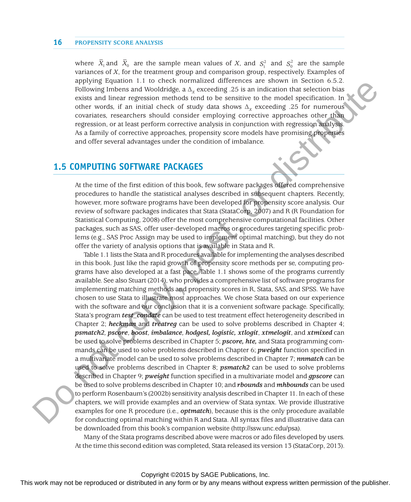where  $\bar{X}_1$  and  $\bar{X}_0$  are the sample mean values of *X*, and  $S_1^2$  and  $S_0^2$  are the sample variances of *X*, for the treatment group and comparison group, respectively. Examples of applying Equation 1.1 to check normalized differences are shown in Section 6.5.2. Following Imbens and Wooldridge, a  $\Delta<sub>x</sub>$  exceeding .25 is an indication that selection bias exists and linear regression methods tend to be sensitive to the model specification. In other words, if an initial check of study data shows Δ<sub>x</sub> exceeding .25 for numerous covariates, researchers should consider employing corrective approaches other than regression, or at least perform corrective analysis in conjunction with regression analysis. As a family of corrective approaches, propensity score models have promising properties and offer several advantages under the condition of imbalance.

## **1.5 COMPUTING SOFTWARE PACKAGES**

At the time of the first edition of this book, few software packages offered comprehensive procedures to handle the statistical analyses described in subsequent chapters. Recently, however, more software programs have been developed for propensity score analysis. Our review of software packages indicates that Stata (StataCorp, 2007) and R (R Foundation for Statistical Computing, 2008) offer the most comprehensive computational facilities. Other packages, such as SAS, offer user-developed macros or procedures targeting specific problems (e.g., SAS Proc Assign may be used to implement optimal matching), but they do not offer the variety of analysis options that is available in Stata and R.

Table 1.1 lists the Stata and R procedures available for implementing the analyses described in this book. Just like the rapid growth of propensity score methods per se, computing programs have also developed at a fast pace. Table 1.1 shows some of the programs currently available. See also Stuart (2014), who provides a comprehensive list of software programs for implementing matching methods and propensity scores in R, Stata, SAS, and SPSS. We have chosen to use Stata to illustrate most approaches. We chose Stata based on our experience with the software and our conclusion that it is a convenient software package. Specifically, Stata's program *test\_condate* can be used to test treatment effect heterogeneity described in Chapter 2; *heckman* and *treatreg* can be used to solve problems described in Chapter 4; *psmatch2, pscore*, *boost, imbalance, hodgesl, logistic, xtlogit*, *xtmelogit*, and *xtmixed* can be used to solve problems described in Chapter 5; *pscore, hte,* and Stata programming commands can be used to solve problems described in Chapter 6; *pweight* function specified in a multivariate model can be used to solve problems described in Chapter 7; *nnmatch* can be used to solve problems described in Chapter 8; *psmatch2* can be used to solve problems described in Chapter 9; *pweight* function specified in a multivariate model and *gpscore* can be used to solve problems described in Chapter 10; and *rbounds* and *mhbounds* can be used to perform Rosenbaum's (2002b) sensitivity analysis described in Chapter 11. In each of these chapters, we will provide examples and an overview of Stata syntax. We provide illustrative examples for one R procedure (i.e., *optmatch*), because this is the only procedure available for conducting optimal matching within R and Stata. All syntax files and illustrative data can be downloaded from this book's companion website (http://ssw.unc.edu/psa). Equivale signation in the coloriol and the rest in any form or by any means when the same of the publisher. A the rest in any form or by any means when the rest in a mean that is the rest in the publisher. A security 25 in

Many of the Stata programs described above were macros or ado files developed by users. At the time this second edition was completed, Stata released its version 13 (StataCorp, 2013).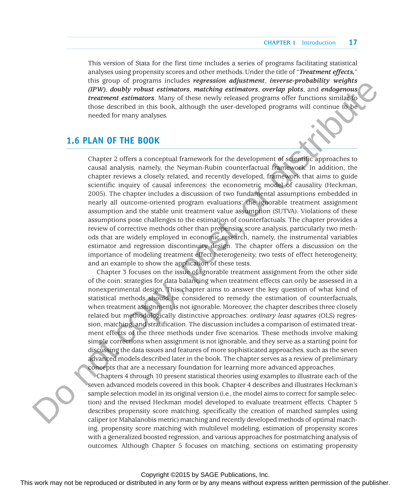This version of Stata for the first time includes a series of programs facilitating statistical analyses using propensity scores and other methods. Under the title of "*Treatment effects,*" this group of programs includes *regression adjustment*, *inverse-probability weights (IPW)*, *doubly robust estimators*, *matching estimators*, *overlap plots*, and *endogenous treatment estimators*. Many of these newly released programs offer functions similar to those described in this book, although the user-developed programs will continue to be needed for many analyses.

## **1.6 PLAN OF THE BOOK**

Chapter 2 offers a conceptual framework for the development of scientific approaches to causal analysis, namely, the Neyman-Rubin counterfactual framework. In addition, the chapter reviews a closely related, and recently developed, framework that aims to guide scientific inquiry of causal inferences: the econometric model of causality (Heckman, 2005). The chapter includes a discussion of two fundamental assumptions embedded in nearly all outcome-oriented program evaluations: the ignorable treatment assignment assumption and the stable unit treatment value assumption (SUTVA). Violations of these assumptions pose challenges to the estimation of counterfactuals. The chapter provides a review of corrective methods other than propensity score analysis, particularly two methods that are widely employed in economic research, namely, the instrumental variables estimator and regression discontinuity design. The chapter offers a discussion on the importance of modeling treatment effect heterogeneity, two tests of effect heterogeneity, and an example to show the application of these tests. The control of the resident or the resident or the representation of the publisher. The representation of the publisher and the resident of the publisher. This because the representation of the publisher. This is a contro

Chapter 3 focuses on the issue of ignorable treatment assignment from the other side of the coin: strategies for data balancing when treatment effects can only be assessed in a nonexperimental design. This chapter aims to answer the key question of what kind of statistical methods should be considered to remedy the estimation of counterfactuals, when treatment assignment is not ignorable. Moreover, the chapter describes three closely related but methodologically distinctive approaches: *ordinary least squares* (OLS) regression, matching, and stratification. The discussion includes a comparison of estimated treatment effects of the three methods under five scenarios. These methods involve making simple corrections when assignment is not ignorable, and they serve as a starting point for discussing the data issues and features of more sophisticated approaches, such as the seven advanced models described later in the book. The chapter serves as a review of preliminary concepts that are a necessary foundation for learning more advanced approaches.

Chapters 4 through 10 present statistical theories using examples to illustrate each of the seven advanced models covered in this book. Chapter 4 describes and illustrates Heckman's sample selection model in its original version (i.e., the model aims to correct for sample selection) and the revised Heckman model developed to evaluate treatment effects. Chapter 5 describes propensity score matching, specifically the creation of matched samples using caliper (or Mahalanobis metric) matching and recently developed methods of optimal matching, propensity score matching with multilevel modeling, estimation of propensity scores with a generalized boosted regression, and various approaches for postmatching analysis of outcomes. Although Chapter 5 focuses on matching, sections on estimating propensity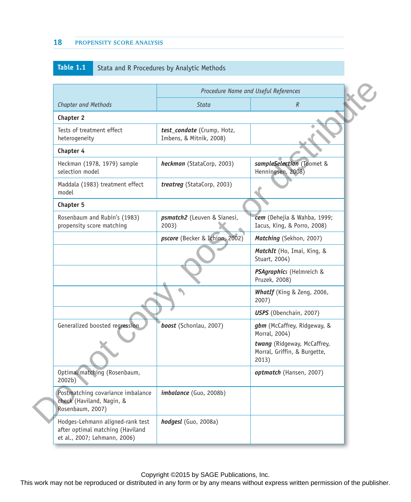# Table 1.1 Stata and R Procedures by Analytic Methods

| Chapter and Methods                                                                                  | <b>Stata</b>                                          | R                                                                    |
|------------------------------------------------------------------------------------------------------|-------------------------------------------------------|----------------------------------------------------------------------|
| Chapter 2                                                                                            |                                                       |                                                                      |
| Tests of treatment effect<br>heterogeneity                                                           | test_condate (Crump, Hotz,<br>Imbens, & Mitnik, 2008) |                                                                      |
| Chapter 4                                                                                            |                                                       |                                                                      |
| Heckman (1978, 1979) sample<br>selection model                                                       | heckman (StataCorp, 2003)                             | sampleSelection (Toomet &<br>Henningsen, 2008)                       |
| Maddala (1983) treatment effect<br>model                                                             | treatreg (StataCorp, 2003)                            |                                                                      |
| Chapter 5                                                                                            |                                                       |                                                                      |
| Rosenbaum and Rubin's (1983)<br>propensity score matching                                            | psmatch2 (Leuven & Sianesi,<br>2003)                  | cem (Dehejia & Wahba, 1999;<br>Iacus, King, & Porro, 2008)           |
|                                                                                                      | pscore (Becker & Ichino, 2002)                        | Matching (Sekhon, 2007)                                              |
|                                                                                                      |                                                       | MatchIt (Ho, Imai, King, &<br>Stuart, 2004)                          |
|                                                                                                      |                                                       | PSAgraphics (Helmreich &<br>Pruzek, 2008)                            |
|                                                                                                      |                                                       | WhatIf (King & Zeng, 2006,<br>2007)                                  |
|                                                                                                      |                                                       | USPS (Obenchain, 2007)                                               |
| Generalized boosted regression                                                                       | boost (Schonlau, 2007)                                | gbm (McCaffrey, Ridgeway, &<br>Morral, 2004)                         |
|                                                                                                      |                                                       | twang (Ridgeway, McCaffrey,<br>Morral, Griffin, & Burgette,<br>2013) |
| Optimal matching (Rosenbaum,<br>2002b)                                                               |                                                       | optmatch (Hansen, 2007)                                              |
| Postmatching covariance imbalance<br>check (Haviland, Nagin, &<br>Rosenbaum, 2007)                   | imbalance (Guo, 2008b)                                |                                                                      |
| Hodges-Lehmann aligned-rank test<br>after optimal matching (Haviland<br>et al., 2007; Lehmann, 2006) | hodgesl (Guo, 2008a)                                  |                                                                      |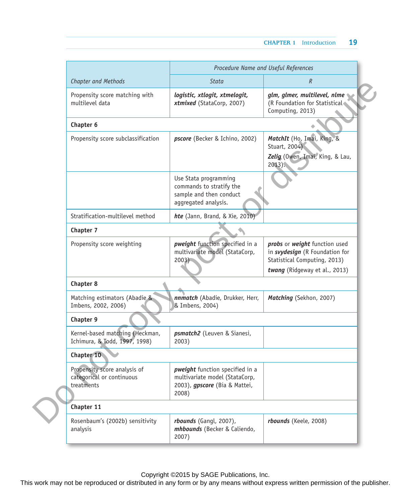|  |                                                                         | Procedure Name and Useful References                                                                        |                                                                                                                                  |
|--|-------------------------------------------------------------------------|-------------------------------------------------------------------------------------------------------------|----------------------------------------------------------------------------------------------------------------------------------|
|  | Chapter and Methods                                                     | <b>Stata</b>                                                                                                | $\cal R$                                                                                                                         |
|  | Propensity score matching with<br>multilevel data                       | logistic, xtlogit, xtmelogit,<br>xtmixed (StataCorp, 2007)                                                  | glm, glmer, multilevel, nlme<br>(R Foundation for Statistical<br>Computing, 2013)                                                |
|  | Chapter 6                                                               |                                                                                                             |                                                                                                                                  |
|  | Propensity score subclassification                                      | pscore (Becker & Ichino, 2002)                                                                              | MatchIt (Ho, Imai, King, &<br>Stuart, 2004)                                                                                      |
|  |                                                                         |                                                                                                             | Zelig (Owen, Imai, King, & Lau,<br>$2013$ ).                                                                                     |
|  |                                                                         | Use Stata programming<br>commands to stratify the<br>sample and then conduct<br>aggregated analysis.        |                                                                                                                                  |
|  | Stratification-multilevel method                                        | hte (Jann, Brand, & Xie, 2010)                                                                              |                                                                                                                                  |
|  | Chapter 7                                                               |                                                                                                             |                                                                                                                                  |
|  | Propensity score weighting                                              | pweight function specified in a<br>multivariate model (StataCorp,<br>2003                                   | probs or weight function used<br>in svydesign (R Foundation for<br>Statistical Computing, 2013)<br>twang (Ridgeway et al., 2013) |
|  | Chapter 8                                                               |                                                                                                             |                                                                                                                                  |
|  | Matching estimators (Abadie &<br>Imbens, 2002, 2006)                    | nnmatch (Abadie, Drukker, Herr,<br>& Imbens, 2004)                                                          | Matching (Sekhon, 2007)                                                                                                          |
|  | Chapter 9                                                               |                                                                                                             |                                                                                                                                  |
|  | Kernel-based matching (Heckman,<br>Ichimura, & Todd, 1997, 1998)        | psmatch2 (Leuven & Sianesi,<br>2003)                                                                        |                                                                                                                                  |
|  | Chapter 10                                                              |                                                                                                             |                                                                                                                                  |
|  | Propensity score analysis of<br>categorical or continuous<br>treatments | pweight function specified in a<br>multivariate model (StataCorp,<br>2003), gpscore (Bia & Mattei,<br>2008) |                                                                                                                                  |
|  | Chapter 11                                                              |                                                                                                             |                                                                                                                                  |
|  | Rosenbaum's (2002b) sensitivity<br>analysis                             | rbounds (Gangl, 2007),<br>mhbounds (Becker & Caliendo,<br>2007)                                             | rbounds (Keele, 2008)                                                                                                            |

Copyright ©2015 by SAGE Publications, Inc.<br>This work may not be reproduced or distributed in any form or by any means without express written permission of the publisher.